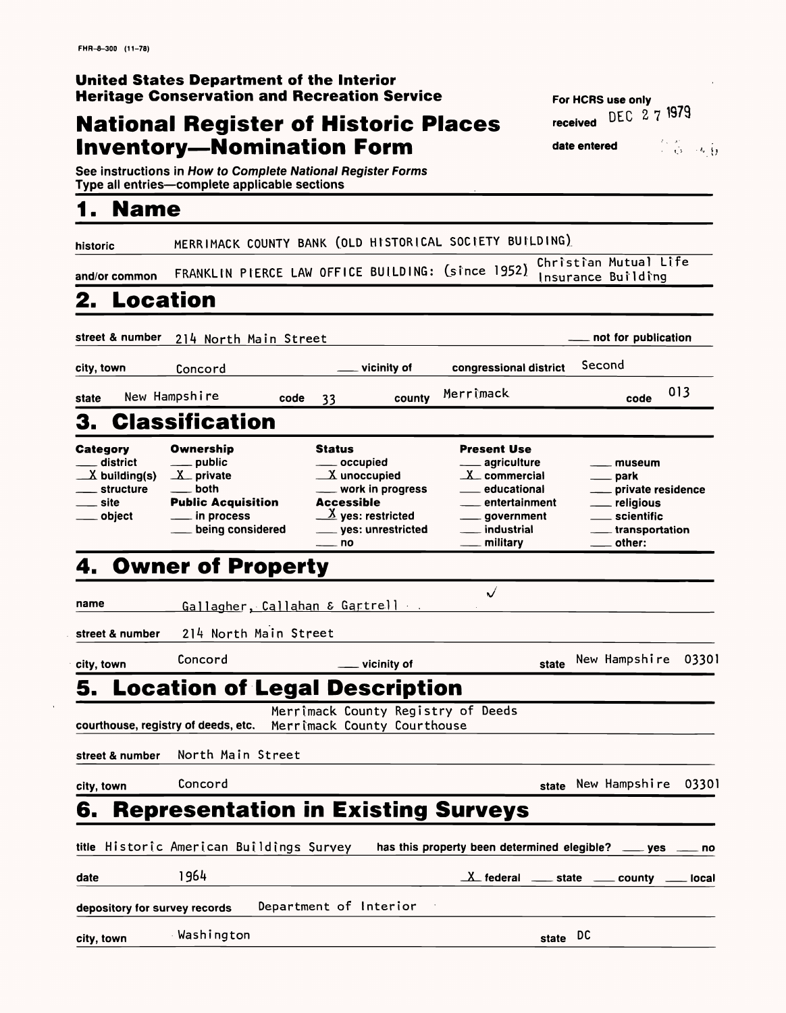不可。<br>《意》传导

# **Heritage Conservation and Recreation Service**<br> **Notional Dominion of Light** of **Pi**erral **Pierre Constitution**

# **National Register of Historic Places Finally Received Inventory—Nomination Form date entered**

**See instructions in How to Complete National Register Forms Type all entries—complete applicable sections** 

| <b>Name</b>                                                                          |                                                                                                                           |                                                                                                                                                                                             |                                                                                                                                 |                                                                                                       |
|--------------------------------------------------------------------------------------|---------------------------------------------------------------------------------------------------------------------------|---------------------------------------------------------------------------------------------------------------------------------------------------------------------------------------------|---------------------------------------------------------------------------------------------------------------------------------|-------------------------------------------------------------------------------------------------------|
| historic                                                                             |                                                                                                                           |                                                                                                                                                                                             | MERRIMACK COUNTY BANK (OLD HISTORICAL SOCIETY BUILDING)                                                                         |                                                                                                       |
| and/or common                                                                        |                                                                                                                           | FRANKLIN PIERCE LAW OFFICE BUILDING: (since 1952)                                                                                                                                           |                                                                                                                                 | Christian Mutual Life<br>Insurance Building                                                           |
| <b>2. Location</b>                                                                   |                                                                                                                           |                                                                                                                                                                                             |                                                                                                                                 |                                                                                                       |
| street & number                                                                      | 214 North Main Street                                                                                                     |                                                                                                                                                                                             |                                                                                                                                 | not for publication                                                                                   |
| city, town                                                                           | Concord                                                                                                                   | vicinity of                                                                                                                                                                                 | congressional district                                                                                                          | Second                                                                                                |
| state                                                                                | New Hampshire<br>code                                                                                                     | county<br>33                                                                                                                                                                                | Merrimack                                                                                                                       | 013<br>code                                                                                           |
|                                                                                      | 3. Classification                                                                                                         |                                                                                                                                                                                             |                                                                                                                                 |                                                                                                       |
| <b>Category</b><br>district<br>$\angle X$ building(s)<br>structure<br>site<br>object | <b>Ownership</b><br>_ public<br>$X$ private<br>both<br><b>Public Acquisition</b><br>$\_$ in process<br>_ being considered | <b>Status</b><br>____ occupied<br>$X$ unoccupied<br>work in progress<br><b>Accessible</b><br>$\underline{\mathcal{X}}$ yes: restricted<br>____ yes: unrestricted<br>$\rule{1em}{0.15mm}$ no | <b>Present Use</b><br>agriculture<br>$X_{c}$ commercial<br>educational<br>entertainment<br>government<br>industrial<br>military | museum<br>___ park<br>private residenc<br>__ religious<br>scientific<br>____ transportation<br>other: |
| 4.                                                                                   | <b>Owner of Property</b>                                                                                                  |                                                                                                                                                                                             |                                                                                                                                 |                                                                                                       |
|                                                                                      |                                                                                                                           |                                                                                                                                                                                             | $\checkmark$                                                                                                                    |                                                                                                       |

private residence

other: name\_\_\_\_\_\_\_\_Gallagher. Callahan *&* Ggrtrell **street & number** 21^ North Main Street **city, town** Concord **Concord Concord Example 2018 5. Location of Legal Description** Merrtmack County Registry of Deeds

|--|

| city, town | Concord                                  | state New Hampshire 03301                                    |
|------------|------------------------------------------|--------------------------------------------------------------|
|            |                                          | <b>6. Representation in Existing Surveys</b>                 |
|            | title Historic American Buildings Survey | has this property been determined elegible? ____ yes ____ no |
| date       | 1964                                     | $X$ federal $X =$ state $X =$ county $X =$ local             |
|            | depository for survey records            | Department of Interior                                       |
| city, town | Washington                               | state DC                                                     |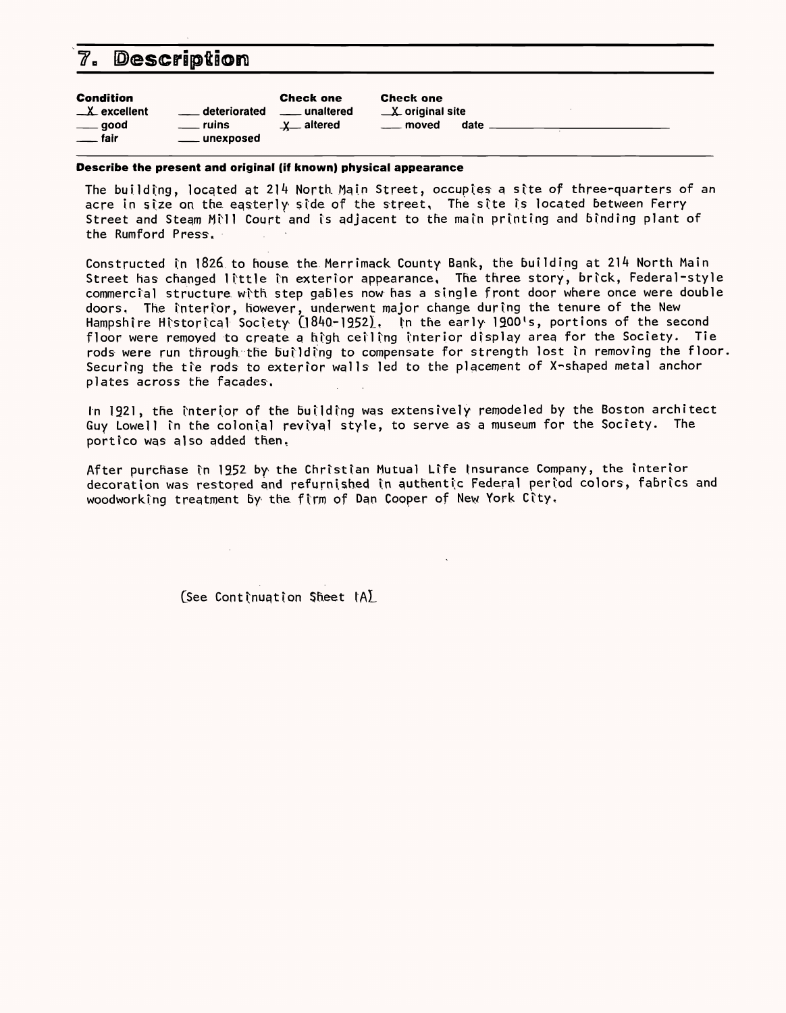# **7. Description**

| <b>Condition</b>          |                    | <b>Check one</b> | <b>Check one</b>           |      |  |
|---------------------------|--------------------|------------------|----------------------------|------|--|
| $X$ excellent             | deteriorated       | <b>unaltered</b> | $\mathbf{X}$ original site |      |  |
| $\rule{1em}{0.15mm}$ good | <u>__</u> __ ruins | $x$ altered      | <u>__</u> moved            | date |  |
| $\equiv$ fair             | ____ unexposed     |                  |                            |      |  |

**Describe the present and original (if known) physical appearance**

The building, located at 214 North Main Street, occupies a site of three-quarters of an acre in size on the easterly side of the street, The site is located between Ferry Street and Steam Mill Court and is adjacent to the main printing and binding plant of the Rumford Press,

In 1921, the interior of the building was extensively remodeled by the Boston architect Guy Lowell in the colonial revival style, to serve as a museum for the Society. The portico was also added then.

After purchase in 1952 by the Christian Mutual Life Insurance Company, the interior decoration was restored and refurnished in authentic Federal period colors, fabrics and woodworking treatment by the firm of Dan Cooper of New York City,

 $(See$  Continuation Sheet  $IAL$ 

Constructed in 1826 to house, the Merrimack County Bank, the building at 214 North Main Street has changed little in exterior appearance. The three story, brick, Federal-style commercial structure with step gables now has a single front door where once were double doors. The interior, however, underwent major change during the tenure of the New Hampshire Historical Society (1840-1952). In the early 1900's, portions of the second floor were remoyed to create a high ceiling interior display area for the Society. Tie rods were run through the building to compensate for strength lost in removing the floor. Securing the tie rods to exterior walls led to the placement of X-shaped metal anchor plates across the facades.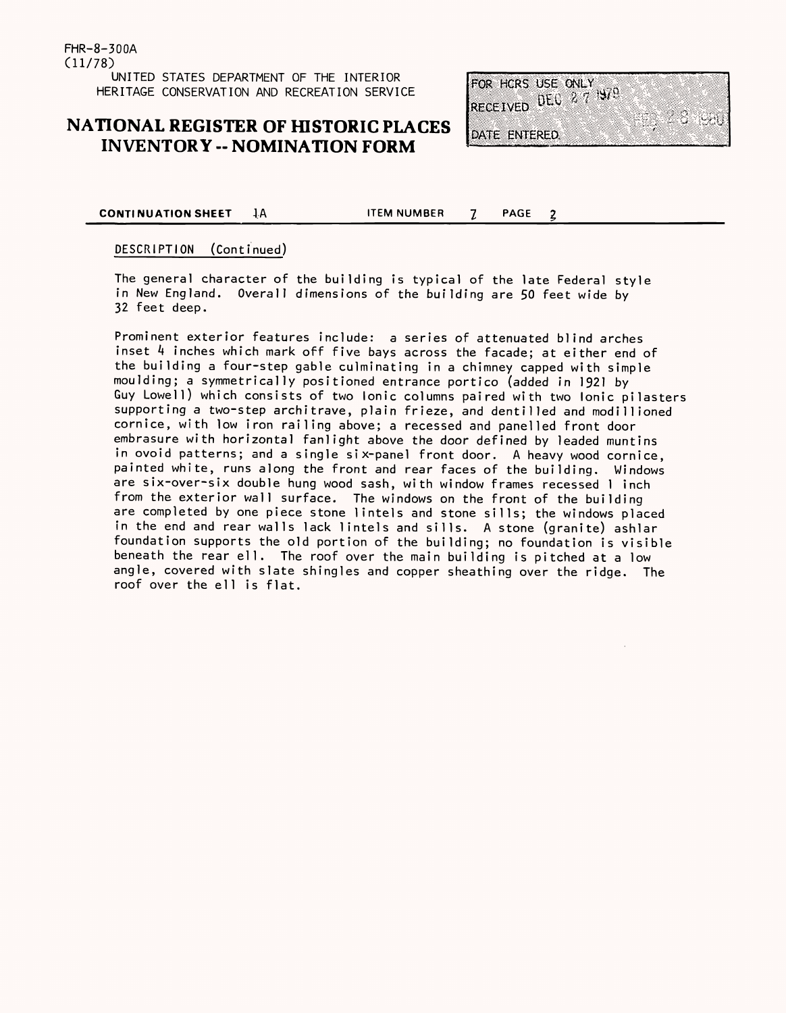## **NATIONAL REGISTER OF HISTORIC PLACES INVENTORY -- NOMINATION FORM**



**CONTINUATION SHEET JA** ITEM NUMBER 7 PAGE

 $\overline{2}$ 

#### DESCRIPTION (Continued)

The general character of the building is typical of the late Federal style in New England. Overall dimensions of the building are 50 feet wide by 32 feet deep.

Prominent exterior features include: a series of attenuated blind arches inset 4 inches which mark off five bays across the facade; at either end of the building a four-step gable culminating in a chimney capped with simple moulding; a symmetrically positioned entrance portico (added in 1921 by Guy Lowell) which consists of two Ionic columns paired with two Ionic pilasters supporting a two-step architrave, plain frieze, and dentilled and modillioned cornice, with low iron railing above; a recessed and panelled front door embrasure with horizontal fanlight above the door defined by leaded muntins in ovoid patterns; and a single six-panel front door. A heavy wood cornice, painted white, runs along the front and rear faces of the building, Wi ndows are six-over-six double hung wood sash, with window frames recessed 1 i nchfrom the exterior wall surface. The windows on the front of the building are completed by one piece stone lintels and stone sills; the windows placed in the end and rear walls lack lintels and sills. A stone (granite) ashlar foundation supports the old portion of the building; no foundation is visible beneath the rear ell. The roof over the main building is pitched at a low angle, covered with slate shingles and copper sheathing over the ridge. The roof over the ell is flat.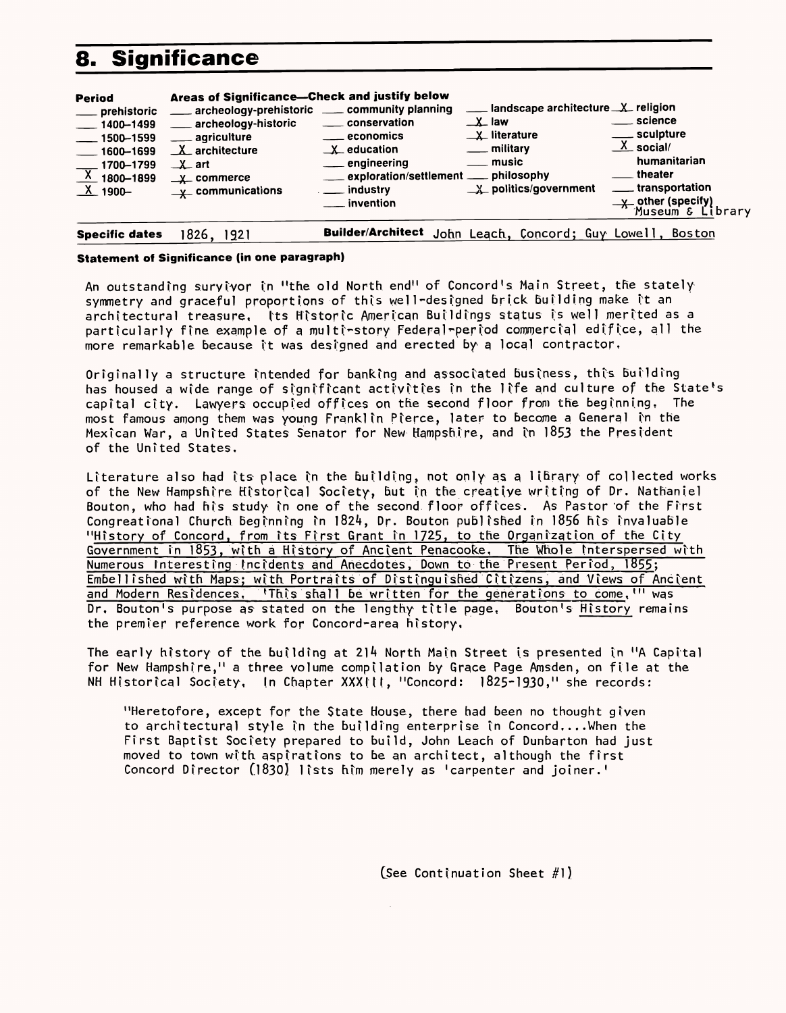# **8. Significance**

| <b>Period</b><br>prehistoric<br>$-$ 1400-1499<br>$\frac{1}{2}$ 1500-1599<br>$\frac{1}{2}$ 1600–1699<br>1700-1799<br>$\overline{X}$ 1800-1899<br><b>X_1900-</b> | Areas of Significance-Check and justify below<br>archeology-historic<br><u>__</u> __ agriculture<br>$X_$ architecture<br>$\perp$ art<br>$\perp$ commerce<br>$\underline{\mathsf{y}}$ communications | archeology-prehistoric ____ community planning<br>____ conservation<br>____ economics<br>$\underline{\mathsf{X}}$ education<br>engineering<br>___ exploration/settlement ___ philosophy<br>__ industry<br>. invention | landscape architecture X religion<br>$\perp$ law<br>$\perp$ literature<br><u>_</u> __ military<br>. music<br>$X$ politics/government | $\_$ science<br>_ sculpture<br>$X$ social/<br>humanitarian<br>theater<br>____ transportation<br>y other (specify)<br>Museum & Library |
|----------------------------------------------------------------------------------------------------------------------------------------------------------------|-----------------------------------------------------------------------------------------------------------------------------------------------------------------------------------------------------|-----------------------------------------------------------------------------------------------------------------------------------------------------------------------------------------------------------------------|--------------------------------------------------------------------------------------------------------------------------------------|---------------------------------------------------------------------------------------------------------------------------------------|
| <b>Specific dates</b>                                                                                                                                          | ، 826 ا<br>1921                                                                                                                                                                                     |                                                                                                                                                                                                                       | Builder/Architect John Leach, Concord; Guy Lowell,                                                                                   | <b>Boston</b>                                                                                                                         |

#### **Statement of Significance (in one paragraph)**

An outstanding suryivor in "the old North end" of Concord's Main Street, the stately symmetry and graceful proportions of this well-designed brick building make it an architectural treasure, Its Historic American Buildings status is well merited as a particularly ftne example of a multi-story Federal-period commercial edifice, all the more remarkable because it was designed and erected by a local contractor.

Originally a structure intended for banking and associated business, this building has housed a wide range of significant activities in the life and culture of the State's capital city. Lawyers occupied offices on the second floor from the beginning. The most famous among them was young Franklin Pierce, later to become a General in the Mexican War, a United States Senator for New Hampshire, and in  $1853$  the President of the United States,

Literature also had its place in the building, not only as a library of collected works of the New Hampshire Historical Society, but in the creative writing of Dr. Nathaniel Bouton, who had his study in one of the second floor offices. As Pastor of the First Congreational Church beginning in 1824, Dr. Bouton published in 1856 his invaluable "History of Concord, from its First Grant in 1725, to the Organization of the City Government in 1853, with a History of Ancient Penacooke. The Whole Interspersed with Numerous Interesting Incidents and Anecdotes, Down to the Present Period, 1855; Embellished with Haps; with Portraits of Distinguished Citizens, and Views of Ancient and Modern Residences, 'This shall be written for the generations to come. "' was Dr, Bouton's purpose as stated on the lengthy title page, Bouton's History remains the premier reference work for Concord-area history.

The early history of the building at 214 North Main Street is presented in "A Capital for New Hampshire," a three volume compilation by Grace Page Amsden, on file at the NH Historical Society, In Chapter XXXIII, "Concord: 1825-1930," she records:

"Heretofore, except for the State House, there had been no thought given to architectural style in the building enterprise in Concord....When the First Baptist Society prepared to build, John Leach of Dunbarton had just moved to town with aspirations to be an architect, although the first Concord Director (1830) lists him merely as 'carpenter and joiner.'

(See Continuation Sheet  $#1$ )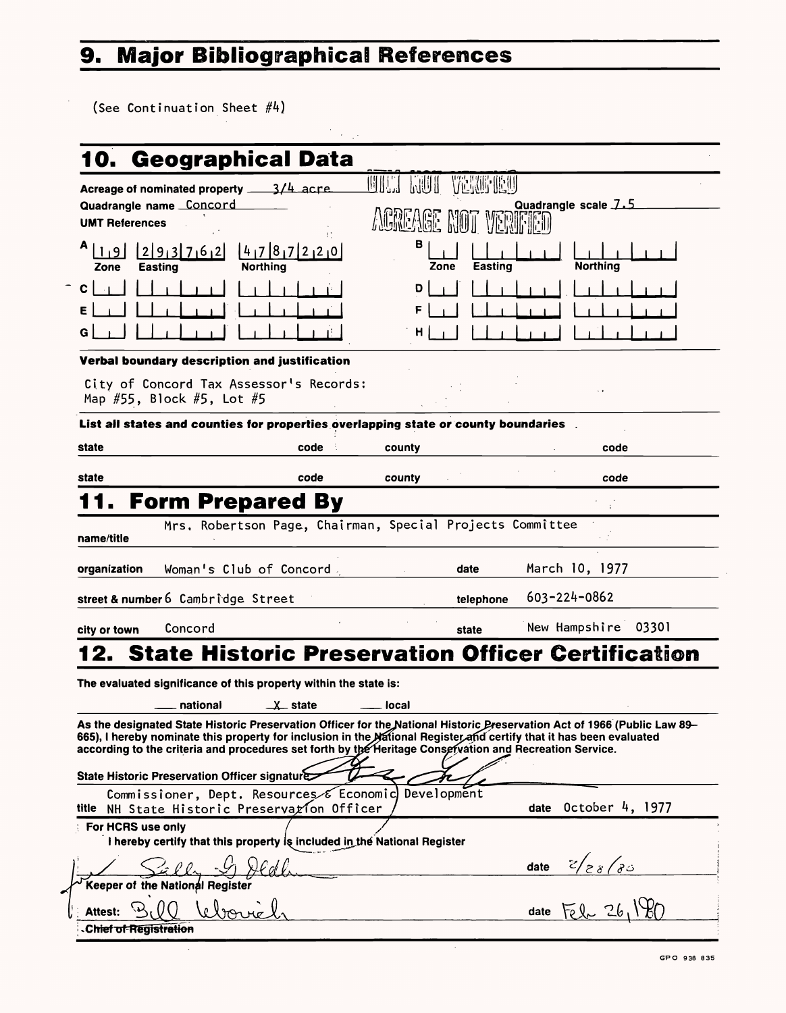#### **Major Bibliographical References** 9.

(See Continuation Sheet #4)

|                       | 10. Geographical Data                                                               |        |            |                |                      |  |
|-----------------------|-------------------------------------------------------------------------------------|--------|------------|----------------|----------------------|--|
|                       | Acreage of nominated property $\frac{3}{4}$ acre                                    |        | 花鼠听<br>标思拼 |                |                      |  |
| <b>UMT References</b> | Quadrangle name Concord                                                             |        |            |                | Quadrangle scale 7.5 |  |
| Zone                  | $[4_17]8_17[2_12_10]$<br> 2 9 3 7 6 2 <br><b>Northing</b><br><b>Easting</b>         |        | В<br>Zone  | <b>Easting</b> | <b>Northing</b>      |  |
|                       |                                                                                     |        | D<br>F     |                |                      |  |
| G                     |                                                                                     |        | H          |                |                      |  |
|                       | Verbal boundary description and justification                                       |        |            |                |                      |  |
|                       |                                                                                     |        |            |                |                      |  |
|                       | City of Concord Tax Assessor's Records:<br>Map #55, Block #5, Lot #5                |        |            |                |                      |  |
|                       | List all states and counties for properties overlapping state or county boundaries. |        |            |                |                      |  |
| state                 | code                                                                                | county |            |                | code                 |  |
| state                 | code                                                                                | county |            |                | code                 |  |
|                       | <b>11. Form Prepared By</b>                                                         |        |            |                |                      |  |
| name/title            | Mrs. Robertson Page, Chairman, Special Projects Committee                           |        |            |                |                      |  |
| organization          | Woman's Club of Concord.                                                            |        | date       |                | March 10, 1977       |  |
|                       | street & number 6 Cambridge Street                                                  |        | telephone  |                | $603 - 224 - 0862$   |  |
| city or town          | Concord                                                                             |        | state      |                | New Hampshire 03301  |  |
|                       | <b>12. State Historic Preservation Officer Certification</b>                        |        |            |                |                      |  |

As the designated State Historic Preservation Officer for the National Historic Preservation Act of 1966 (Public Law 89-

665), I hereby nominate this property for inclusion in the National Register and certify that it has been evaluated according to the criteria and procedures set forth by the Heritage Consefvation and Recreation Service.

national X state \_\_ local

State Historic Preservation Officer signature Commissioner, Dept. Resources Economic) Development title NH State Historic Preservation Officer  $\overline{a}$  date October 4, 1977 For HCRS use only I hereby certify that this property  $l$ s included in the National Register date  $\frac{z}{z_8}$   $\frac{z_8}$ **Keeper of the National Register** Attest: BIQ bebouiel, date **Chief of Registration** 

 $\epsilon$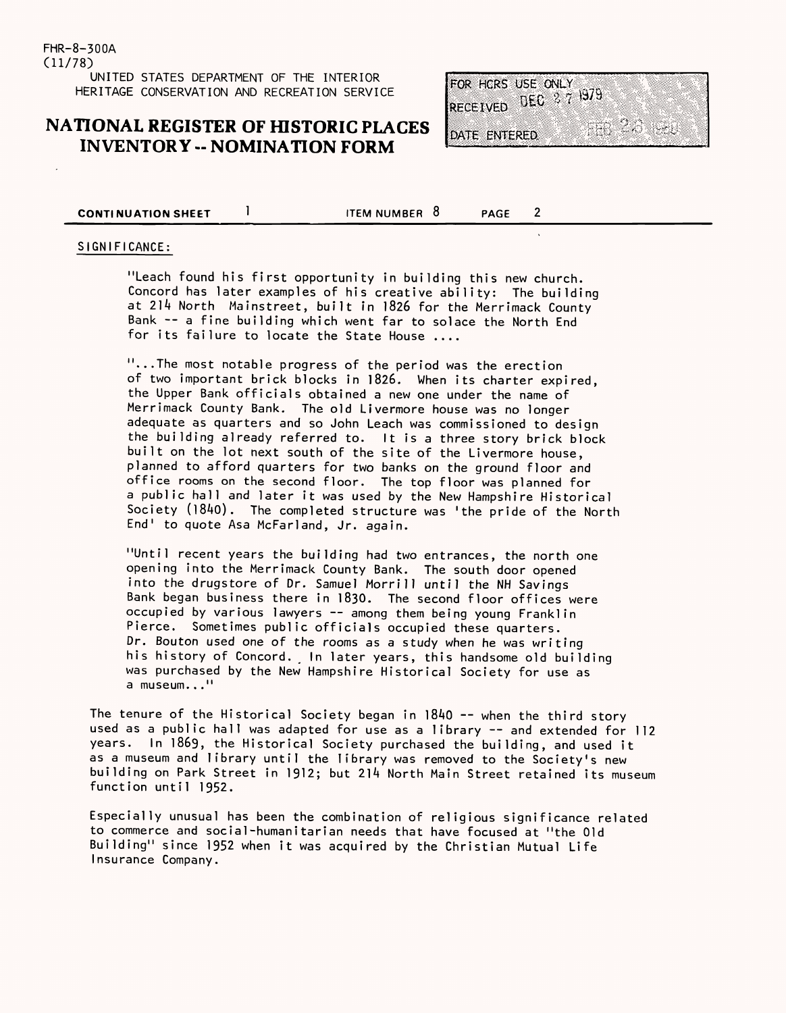### **NATIONAL REGISTER OF HISTORIC PLACES INVENTORY -- NOMINATION FORM**

FOR HORS USE ONLY RECEIVED DEC 877 1979

DATE ENTERED

**CONTINUATION SHEET** 1 ITEM NUMBER 8 PAGE

 $2<sup>1</sup>$ 

#### SIGNIFICANCE:

"...The most notable progress of the period was the erection of two important brick blocks in 1826. When its charter expired, the Upper Bank officials obtained a new one under the name of Merrimack County Bank. The old Livermore house was no longer adequate as quarters and so John Leach was commissioned to design the building already referred to. It is a three story brick block built on the lot next south of the site of the Livermore house, planned to afford quarters for two banks on the ground floor and office rooms on the second floor. The top floor was planned for a public hall and later it was used by the New Hampshire Historical Society (1840). The completed structure was 'the pride of the North End' to quote Asa McFarland, Jr. again.

"Leach found his first opportunity in building this new church. Concord has later examples of his creative ability: The building at 214 North Mainstreet, built in 1826 for the Merrimack County Bank -- a fine building which went far to solace the North End for its failure to locate the State House ....

"Until recent years the building had two entrances, the north one opening into the Merrimack County Bank. The south door opened into the drugstore of Dr. Samuel Morrill until the NH Savings Bank began business there in 1830. The second floor offices were occupied by various lawyers  $--$  among them being young Franklin Pierce. Sometimes public officials occupied these quarters. Dr. Bouton used one of the rooms as a study when he was writing his history of Concord. In later years, this handsome old building was purchased by the New Hampshire Historical Society for use as a museum..."

The tenure of the Historical Society began in  $1840 - -$  when the third story used as a public hall was adapted for use as a library -- and extended for 112 years. In 1869, the Historical Society purchased the building, and used it as a museum and library until the library was removed to the Society's new building on Park Street in 1912; but 214 North Main Street retained its museum function until 1952.

Especially unusual has been the combination of religious significance related to commerce and social-humanitarian needs that have focused at "the Old Building" since 1952 when it was acquired by the Christian Mutual Life Insurance Company.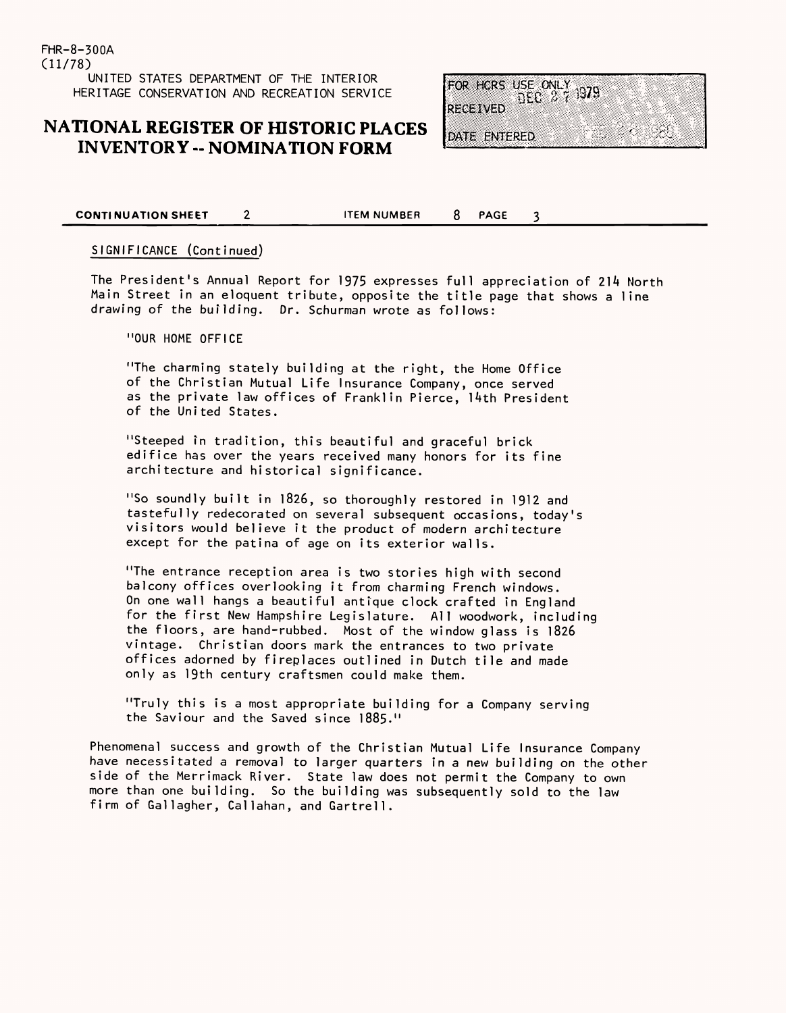## **NATIONAL REGISTER OF HISTORIC PLACES INVENTORY -- NOMINATION FORM**

FOR HORS USE ONLY 1379 **RECEIVED** 

<u> Maria Alban</u>

DATE ENTERED

**CONTINUATION SHEET** 2 ITEM NUMBER 8 PAGE 3

#### SIGNIFICANCE (Continued)

The President's Annual Report for 1975 expresses full appreciation of 214 North Main Street in an eloquent tribute, opposite the title page that shows a line drawing of the building. Dr. Schurman wrote as follows:

"OUR HOME OFFICE

"The charming stately building at the right, the Home Office of the Christian Mutual Life Insurance Company, once served as the private law offices of Franklin Pierce, 14th President of the United States.

"Steeped in tradition, this beautiful and graceful brick edifice has over the years received many honors for its fine architecture and historical significance.

"So soundly built in 1826, so thoroughly restored in 1912 and tastefully redecorated on several subsequent occasions, today's visitors would believe it the product of modern architecture except for the patina of age on its exterior walls.

"The entrance reception area is two stories high with second balcony offices overlooking it from charming French windows. On one wall hangs a beautiful antique clock Grafted in England for the first New Hampshire Legislature. All woodwork, including the floors, are hand-rubbed. Most of the window glass is 1826 vintage. Christian doors mark the entrances to two private offices adorned by fireplaces outlined in Dutch tile and made only as 19th century craftsmen could make them.

"Truly this is a most appropriate building for a Company serving the Saviour and the Saved since 1885."

Phenomenal success and growth of the Christian Mutual Life Insurance Company have necessitated a removal to larger quarters in a new building on the other side of the Merrimack River. State law does not permit the Company to own more than one building. So the building was subsequently sold to the law firm of Gallagher, Callahan, and Gartrel1.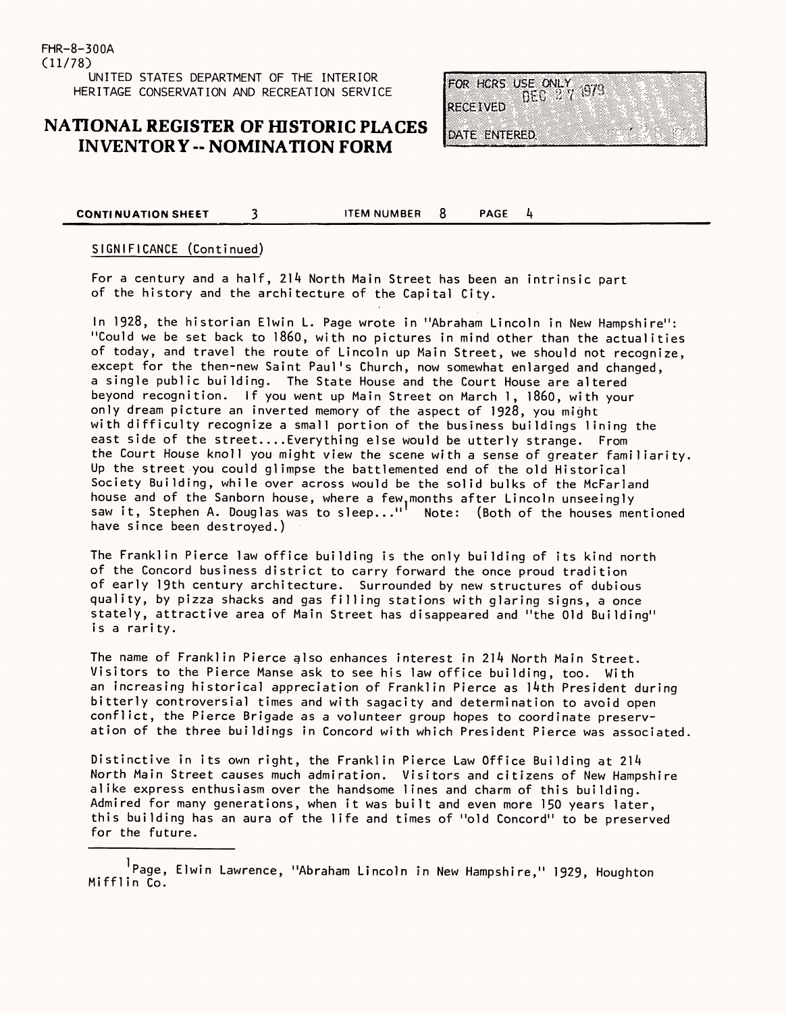### **NATIONAL REGISTER OF HISTORIC PLACES INVENTORY -- NOMINATION FORM**

FOR HORS USE ONLY  $_{\rm 075}^{\rm 579}$ **RECEIVED** DATE ENTERED.

#### **CONTINUATION SHEET** 3 **ITEM NUMBER** 8 PAGE 4

#### SIGNIFICANCE (Continued)

For a century and a half, 214 North Main Street has been an intrinsic part of the history and the architecture of the Capital City.

In 1928, the historian Elwin L. Page wrote in "Abraham Lincoln in New Hampshire": "Could we be set back to i860, with no pictures in mind other than the actualities of today, and travel the route of Lincoln up Main Street, we should not recognize, except for the then-new Saint Paul's Church, now somewhat enlarged and changed, a single public building. The State House and the Court House are altered beyond recognition. If you went up Main Street on March 1, i860, with your only dream picture an inverted memory of the aspect of 1928, you might with difficulty recognize a small portion of the business buildings lining the east side of the street....Everything else would be utterly strange. From the Court House knoll you might view the scene with a sense of greater familiarity, Up the street you could glimpse the battlemented end of the old Historical Society Building, while over across would be the solid bulks of the McFarland house and of the Sanborn house, where a few.months after Lincoln unseeingly saw it, Stephen A. Douglas was to sleep..." Note: (Both of the houses mentioned have since been destroyed.)

The Franklin Pierce law office building is the only building of its kind north of the Concord business district to carry forward the once proud tradition of early 19th century architecture. Surrounded by new structures of dubious quality, by pizza shacks and gas filling stations with glaring signs, a once stately, attractive area of Main Street has disappeared and "the Old Building" is a rarity.

The name of Franklin Pierce also enhances interest in 214 North Main Street. Visitors to the Pierce Manse ask to see his law office building, too. With an increasing historical appreciation of Franklin Pierce as 14th President during bitterly controversial times and with sagacity and determination to avoid open conflict, the Pierce Brigade as a volunteer group hopes to coordinate preserv-

ation of the three buildings in Concord with which President Pierce was associated.

Distinctive in its own right, the Franklin Pierce Law Office Building at 214 North Main Street causes much admiration. Visitors and citizens of New Hampshire alike express enthusiasm over the handsome lines and charm of this building. Admired for many generations, when it was built and even more 150 years later, this building has an aura of the life and times of "old Concord" to be preserved for the future.

<sup>1</sup>Page, Elwin Lawrence, "Abraham Lincoln in New Hampshire," 1929, Houghton Mifflin Co.